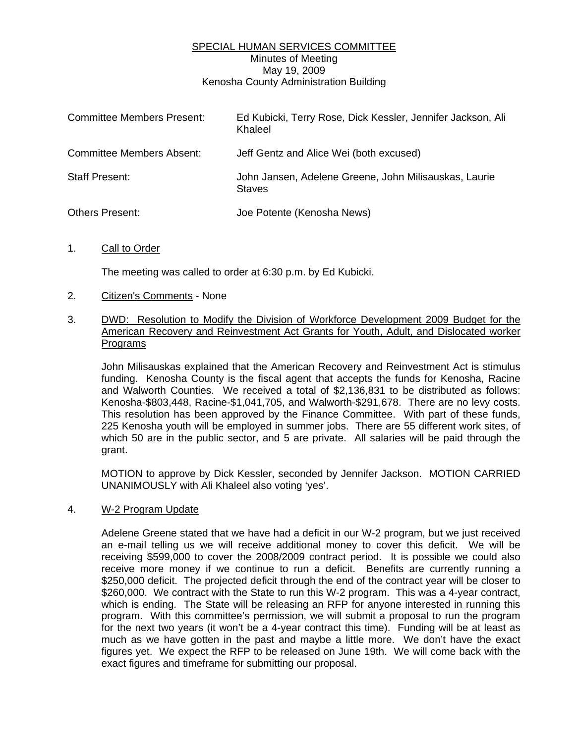## SPECIAL HUMAN SERVICES COMMITTEE Minutes of Meeting May 19, 2009 Kenosha County Administration Building

| <b>Committee Members Present:</b> | Ed Kubicki, Terry Rose, Dick Kessler, Jennifer Jackson, Ali<br>Khaleel |
|-----------------------------------|------------------------------------------------------------------------|
| <b>Committee Members Absent:</b>  | Jeff Gentz and Alice Wei (both excused)                                |
| <b>Staff Present:</b>             | John Jansen, Adelene Greene, John Milisauskas, Laurie<br><b>Staves</b> |
| <b>Others Present:</b>            | Joe Potente (Kenosha News)                                             |

1. Call to Order

The meeting was called to order at 6:30 p.m. by Ed Kubicki.

- 2. Citizen's Comments None
- 3. DWD: Resolution to Modify the Division of Workforce Development 2009 Budget for the American Recovery and Reinvestment Act Grants for Youth, Adult, and Dislocated worker Programs

 John Milisauskas explained that the American Recovery and Reinvestment Act is stimulus funding. Kenosha County is the fiscal agent that accepts the funds for Kenosha, Racine and Walworth Counties. We received a total of \$2,136,831 to be distributed as follows: Kenosha-\$803,448, Racine-\$1,041,705, and Walworth-\$291,678. There are no levy costs. This resolution has been approved by the Finance Committee. With part of these funds, 225 Kenosha youth will be employed in summer jobs. There are 55 different work sites, of which 50 are in the public sector, and 5 are private. All salaries will be paid through the grant.

 MOTION to approve by Dick Kessler, seconded by Jennifer Jackson. MOTION CARRIED UNANIMOUSLY with Ali Khaleel also voting 'yes'.

### 4. W-2 Program Update

 Adelene Greene stated that we have had a deficit in our W-2 program, but we just received an e-mail telling us we will receive additional money to cover this deficit. We will be receiving \$599,000 to cover the 2008/2009 contract period. It is possible we could also receive more money if we continue to run a deficit. Benefits are currently running a \$250,000 deficit. The projected deficit through the end of the contract year will be closer to \$260,000. We contract with the State to run this W-2 program. This was a 4-year contract, which is ending. The State will be releasing an RFP for anyone interested in running this program. With this committee's permission, we will submit a proposal to run the program for the next two years (it won't be a 4-year contract this time). Funding will be at least as much as we have gotten in the past and maybe a little more. We don't have the exact figures yet. We expect the RFP to be released on June 19th. We will come back with the exact figures and timeframe for submitting our proposal.